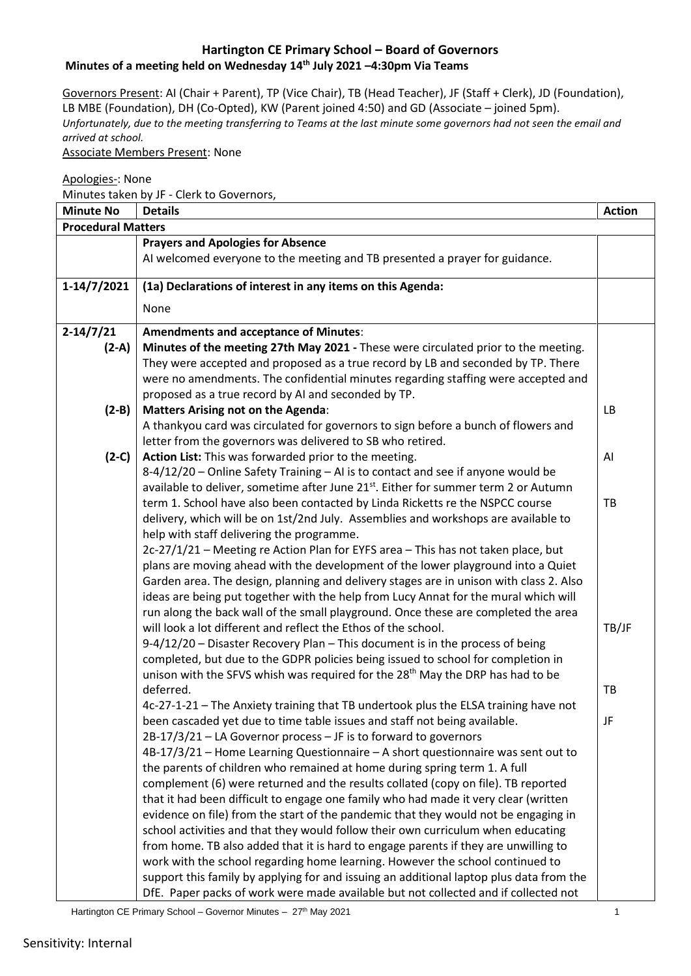# **Minutes of a meeting held on Wednesday 14th July 2021 –4:30pm Via Teams**

Governors Present: AI (Chair + Parent), TP (Vice Chair), TB (Head Teacher), JF (Staff + Clerk), JD (Foundation), LB MBE (Foundation), DH (Co-Opted), KW (Parent joined 4:50) and GD (Associate – joined 5pm). *Unfortunately, due to the meeting transferring to Teams at the last minute some governors had not seen the email and arrived at school.* 

Associate Members Present: None

Apologies-: None

| <b>Minute No</b><br><b>Details</b><br><b>Action</b><br><b>Procedural Matters</b><br><b>Prayers and Apologies for Absence</b><br>AI welcomed everyone to the meeting and TB presented a prayer for guidance.<br>1-14/7/2021<br>(1a) Declarations of interest in any items on this Agenda:<br>None<br>$2 - 14/7/21$<br><b>Amendments and acceptance of Minutes:</b><br>Minutes of the meeting 27th May 2021 - These were circulated prior to the meeting.<br>$(2-A)$<br>They were accepted and proposed as a true record by LB and seconded by TP. There<br>were no amendments. The confidential minutes regarding staffing were accepted and<br>proposed as a true record by AI and seconded by TP.<br>$(2-B)$<br><b>Matters Arising not on the Agenda:</b><br><b>LB</b><br>A thankyou card was circulated for governors to sign before a bunch of flowers and<br>letter from the governors was delivered to SB who retired.<br>$(2-C)$<br>Action List: This was forwarded prior to the meeting.<br>Al<br>8-4/12/20 - Online Safety Training - AI is to contact and see if anyone would be<br>available to deliver, sometime after June 21 <sup>st</sup> . Either for summer term 2 or Autumn<br>term 1. School have also been contacted by Linda Ricketts re the NSPCC course<br>TB<br>delivery, which will be on 1st/2nd July. Assemblies and workshops are available to<br>help with staff delivering the programme.<br>2c-27/1/21 - Meeting re Action Plan for EYFS area - This has not taken place, but<br>plans are moving ahead with the development of the lower playground into a Quiet<br>Garden area. The design, planning and delivery stages are in unison with class 2. Also<br>ideas are being put together with the help from Lucy Annat for the mural which will<br>run along the back wall of the small playground. Once these are completed the area<br>TB/JF<br>will look a lot different and reflect the Ethos of the school.<br>9-4/12/20 - Disaster Recovery Plan - This document is in the process of being<br>completed, but due to the GDPR policies being issued to school for completion in<br>unison with the SFVS whish was required for the 28 <sup>th</sup> May the DRP has had to be | Minutes taken by JF - Clerk to Governors, |  |
|----------------------------------------------------------------------------------------------------------------------------------------------------------------------------------------------------------------------------------------------------------------------------------------------------------------------------------------------------------------------------------------------------------------------------------------------------------------------------------------------------------------------------------------------------------------------------------------------------------------------------------------------------------------------------------------------------------------------------------------------------------------------------------------------------------------------------------------------------------------------------------------------------------------------------------------------------------------------------------------------------------------------------------------------------------------------------------------------------------------------------------------------------------------------------------------------------------------------------------------------------------------------------------------------------------------------------------------------------------------------------------------------------------------------------------------------------------------------------------------------------------------------------------------------------------------------------------------------------------------------------------------------------------------------------------------------------------------------------------------------------------------------------------------------------------------------------------------------------------------------------------------------------------------------------------------------------------------------------------------------------------------------------------------------------------------------------------------------------------------------------------------------------------------------------------------------------------------------|-------------------------------------------|--|
|                                                                                                                                                                                                                                                                                                                                                                                                                                                                                                                                                                                                                                                                                                                                                                                                                                                                                                                                                                                                                                                                                                                                                                                                                                                                                                                                                                                                                                                                                                                                                                                                                                                                                                                                                                                                                                                                                                                                                                                                                                                                                                                                                                                                                      |                                           |  |
|                                                                                                                                                                                                                                                                                                                                                                                                                                                                                                                                                                                                                                                                                                                                                                                                                                                                                                                                                                                                                                                                                                                                                                                                                                                                                                                                                                                                                                                                                                                                                                                                                                                                                                                                                                                                                                                                                                                                                                                                                                                                                                                                                                                                                      |                                           |  |
|                                                                                                                                                                                                                                                                                                                                                                                                                                                                                                                                                                                                                                                                                                                                                                                                                                                                                                                                                                                                                                                                                                                                                                                                                                                                                                                                                                                                                                                                                                                                                                                                                                                                                                                                                                                                                                                                                                                                                                                                                                                                                                                                                                                                                      |                                           |  |
|                                                                                                                                                                                                                                                                                                                                                                                                                                                                                                                                                                                                                                                                                                                                                                                                                                                                                                                                                                                                                                                                                                                                                                                                                                                                                                                                                                                                                                                                                                                                                                                                                                                                                                                                                                                                                                                                                                                                                                                                                                                                                                                                                                                                                      |                                           |  |
|                                                                                                                                                                                                                                                                                                                                                                                                                                                                                                                                                                                                                                                                                                                                                                                                                                                                                                                                                                                                                                                                                                                                                                                                                                                                                                                                                                                                                                                                                                                                                                                                                                                                                                                                                                                                                                                                                                                                                                                                                                                                                                                                                                                                                      |                                           |  |
|                                                                                                                                                                                                                                                                                                                                                                                                                                                                                                                                                                                                                                                                                                                                                                                                                                                                                                                                                                                                                                                                                                                                                                                                                                                                                                                                                                                                                                                                                                                                                                                                                                                                                                                                                                                                                                                                                                                                                                                                                                                                                                                                                                                                                      |                                           |  |
|                                                                                                                                                                                                                                                                                                                                                                                                                                                                                                                                                                                                                                                                                                                                                                                                                                                                                                                                                                                                                                                                                                                                                                                                                                                                                                                                                                                                                                                                                                                                                                                                                                                                                                                                                                                                                                                                                                                                                                                                                                                                                                                                                                                                                      |                                           |  |
|                                                                                                                                                                                                                                                                                                                                                                                                                                                                                                                                                                                                                                                                                                                                                                                                                                                                                                                                                                                                                                                                                                                                                                                                                                                                                                                                                                                                                                                                                                                                                                                                                                                                                                                                                                                                                                                                                                                                                                                                                                                                                                                                                                                                                      |                                           |  |
|                                                                                                                                                                                                                                                                                                                                                                                                                                                                                                                                                                                                                                                                                                                                                                                                                                                                                                                                                                                                                                                                                                                                                                                                                                                                                                                                                                                                                                                                                                                                                                                                                                                                                                                                                                                                                                                                                                                                                                                                                                                                                                                                                                                                                      |                                           |  |
|                                                                                                                                                                                                                                                                                                                                                                                                                                                                                                                                                                                                                                                                                                                                                                                                                                                                                                                                                                                                                                                                                                                                                                                                                                                                                                                                                                                                                                                                                                                                                                                                                                                                                                                                                                                                                                                                                                                                                                                                                                                                                                                                                                                                                      |                                           |  |
|                                                                                                                                                                                                                                                                                                                                                                                                                                                                                                                                                                                                                                                                                                                                                                                                                                                                                                                                                                                                                                                                                                                                                                                                                                                                                                                                                                                                                                                                                                                                                                                                                                                                                                                                                                                                                                                                                                                                                                                                                                                                                                                                                                                                                      |                                           |  |
|                                                                                                                                                                                                                                                                                                                                                                                                                                                                                                                                                                                                                                                                                                                                                                                                                                                                                                                                                                                                                                                                                                                                                                                                                                                                                                                                                                                                                                                                                                                                                                                                                                                                                                                                                                                                                                                                                                                                                                                                                                                                                                                                                                                                                      |                                           |  |
|                                                                                                                                                                                                                                                                                                                                                                                                                                                                                                                                                                                                                                                                                                                                                                                                                                                                                                                                                                                                                                                                                                                                                                                                                                                                                                                                                                                                                                                                                                                                                                                                                                                                                                                                                                                                                                                                                                                                                                                                                                                                                                                                                                                                                      |                                           |  |
|                                                                                                                                                                                                                                                                                                                                                                                                                                                                                                                                                                                                                                                                                                                                                                                                                                                                                                                                                                                                                                                                                                                                                                                                                                                                                                                                                                                                                                                                                                                                                                                                                                                                                                                                                                                                                                                                                                                                                                                                                                                                                                                                                                                                                      |                                           |  |
|                                                                                                                                                                                                                                                                                                                                                                                                                                                                                                                                                                                                                                                                                                                                                                                                                                                                                                                                                                                                                                                                                                                                                                                                                                                                                                                                                                                                                                                                                                                                                                                                                                                                                                                                                                                                                                                                                                                                                                                                                                                                                                                                                                                                                      |                                           |  |
|                                                                                                                                                                                                                                                                                                                                                                                                                                                                                                                                                                                                                                                                                                                                                                                                                                                                                                                                                                                                                                                                                                                                                                                                                                                                                                                                                                                                                                                                                                                                                                                                                                                                                                                                                                                                                                                                                                                                                                                                                                                                                                                                                                                                                      |                                           |  |
|                                                                                                                                                                                                                                                                                                                                                                                                                                                                                                                                                                                                                                                                                                                                                                                                                                                                                                                                                                                                                                                                                                                                                                                                                                                                                                                                                                                                                                                                                                                                                                                                                                                                                                                                                                                                                                                                                                                                                                                                                                                                                                                                                                                                                      |                                           |  |
|                                                                                                                                                                                                                                                                                                                                                                                                                                                                                                                                                                                                                                                                                                                                                                                                                                                                                                                                                                                                                                                                                                                                                                                                                                                                                                                                                                                                                                                                                                                                                                                                                                                                                                                                                                                                                                                                                                                                                                                                                                                                                                                                                                                                                      |                                           |  |
|                                                                                                                                                                                                                                                                                                                                                                                                                                                                                                                                                                                                                                                                                                                                                                                                                                                                                                                                                                                                                                                                                                                                                                                                                                                                                                                                                                                                                                                                                                                                                                                                                                                                                                                                                                                                                                                                                                                                                                                                                                                                                                                                                                                                                      |                                           |  |
|                                                                                                                                                                                                                                                                                                                                                                                                                                                                                                                                                                                                                                                                                                                                                                                                                                                                                                                                                                                                                                                                                                                                                                                                                                                                                                                                                                                                                                                                                                                                                                                                                                                                                                                                                                                                                                                                                                                                                                                                                                                                                                                                                                                                                      |                                           |  |
|                                                                                                                                                                                                                                                                                                                                                                                                                                                                                                                                                                                                                                                                                                                                                                                                                                                                                                                                                                                                                                                                                                                                                                                                                                                                                                                                                                                                                                                                                                                                                                                                                                                                                                                                                                                                                                                                                                                                                                                                                                                                                                                                                                                                                      |                                           |  |
|                                                                                                                                                                                                                                                                                                                                                                                                                                                                                                                                                                                                                                                                                                                                                                                                                                                                                                                                                                                                                                                                                                                                                                                                                                                                                                                                                                                                                                                                                                                                                                                                                                                                                                                                                                                                                                                                                                                                                                                                                                                                                                                                                                                                                      |                                           |  |
|                                                                                                                                                                                                                                                                                                                                                                                                                                                                                                                                                                                                                                                                                                                                                                                                                                                                                                                                                                                                                                                                                                                                                                                                                                                                                                                                                                                                                                                                                                                                                                                                                                                                                                                                                                                                                                                                                                                                                                                                                                                                                                                                                                                                                      |                                           |  |
|                                                                                                                                                                                                                                                                                                                                                                                                                                                                                                                                                                                                                                                                                                                                                                                                                                                                                                                                                                                                                                                                                                                                                                                                                                                                                                                                                                                                                                                                                                                                                                                                                                                                                                                                                                                                                                                                                                                                                                                                                                                                                                                                                                                                                      |                                           |  |
|                                                                                                                                                                                                                                                                                                                                                                                                                                                                                                                                                                                                                                                                                                                                                                                                                                                                                                                                                                                                                                                                                                                                                                                                                                                                                                                                                                                                                                                                                                                                                                                                                                                                                                                                                                                                                                                                                                                                                                                                                                                                                                                                                                                                                      |                                           |  |
|                                                                                                                                                                                                                                                                                                                                                                                                                                                                                                                                                                                                                                                                                                                                                                                                                                                                                                                                                                                                                                                                                                                                                                                                                                                                                                                                                                                                                                                                                                                                                                                                                                                                                                                                                                                                                                                                                                                                                                                                                                                                                                                                                                                                                      |                                           |  |
|                                                                                                                                                                                                                                                                                                                                                                                                                                                                                                                                                                                                                                                                                                                                                                                                                                                                                                                                                                                                                                                                                                                                                                                                                                                                                                                                                                                                                                                                                                                                                                                                                                                                                                                                                                                                                                                                                                                                                                                                                                                                                                                                                                                                                      |                                           |  |
|                                                                                                                                                                                                                                                                                                                                                                                                                                                                                                                                                                                                                                                                                                                                                                                                                                                                                                                                                                                                                                                                                                                                                                                                                                                                                                                                                                                                                                                                                                                                                                                                                                                                                                                                                                                                                                                                                                                                                                                                                                                                                                                                                                                                                      |                                           |  |
|                                                                                                                                                                                                                                                                                                                                                                                                                                                                                                                                                                                                                                                                                                                                                                                                                                                                                                                                                                                                                                                                                                                                                                                                                                                                                                                                                                                                                                                                                                                                                                                                                                                                                                                                                                                                                                                                                                                                                                                                                                                                                                                                                                                                                      |                                           |  |
| deferred.<br>TB                                                                                                                                                                                                                                                                                                                                                                                                                                                                                                                                                                                                                                                                                                                                                                                                                                                                                                                                                                                                                                                                                                                                                                                                                                                                                                                                                                                                                                                                                                                                                                                                                                                                                                                                                                                                                                                                                                                                                                                                                                                                                                                                                                                                      |                                           |  |
| 4c-27-1-21 - The Anxiety training that TB undertook plus the ELSA training have not                                                                                                                                                                                                                                                                                                                                                                                                                                                                                                                                                                                                                                                                                                                                                                                                                                                                                                                                                                                                                                                                                                                                                                                                                                                                                                                                                                                                                                                                                                                                                                                                                                                                                                                                                                                                                                                                                                                                                                                                                                                                                                                                  |                                           |  |
| been cascaded yet due to time table issues and staff not being available.<br>JF                                                                                                                                                                                                                                                                                                                                                                                                                                                                                                                                                                                                                                                                                                                                                                                                                                                                                                                                                                                                                                                                                                                                                                                                                                                                                                                                                                                                                                                                                                                                                                                                                                                                                                                                                                                                                                                                                                                                                                                                                                                                                                                                      |                                           |  |
| 2B-17/3/21 - LA Governor process - JF is to forward to governors                                                                                                                                                                                                                                                                                                                                                                                                                                                                                                                                                                                                                                                                                                                                                                                                                                                                                                                                                                                                                                                                                                                                                                                                                                                                                                                                                                                                                                                                                                                                                                                                                                                                                                                                                                                                                                                                                                                                                                                                                                                                                                                                                     |                                           |  |
| 4B-17/3/21 - Home Learning Questionnaire - A short questionnaire was sent out to<br>the parents of children who remained at home during spring term 1. A full                                                                                                                                                                                                                                                                                                                                                                                                                                                                                                                                                                                                                                                                                                                                                                                                                                                                                                                                                                                                                                                                                                                                                                                                                                                                                                                                                                                                                                                                                                                                                                                                                                                                                                                                                                                                                                                                                                                                                                                                                                                        |                                           |  |
| complement (6) were returned and the results collated (copy on file). TB reported                                                                                                                                                                                                                                                                                                                                                                                                                                                                                                                                                                                                                                                                                                                                                                                                                                                                                                                                                                                                                                                                                                                                                                                                                                                                                                                                                                                                                                                                                                                                                                                                                                                                                                                                                                                                                                                                                                                                                                                                                                                                                                                                    |                                           |  |
| that it had been difficult to engage one family who had made it very clear (written                                                                                                                                                                                                                                                                                                                                                                                                                                                                                                                                                                                                                                                                                                                                                                                                                                                                                                                                                                                                                                                                                                                                                                                                                                                                                                                                                                                                                                                                                                                                                                                                                                                                                                                                                                                                                                                                                                                                                                                                                                                                                                                                  |                                           |  |
| evidence on file) from the start of the pandemic that they would not be engaging in                                                                                                                                                                                                                                                                                                                                                                                                                                                                                                                                                                                                                                                                                                                                                                                                                                                                                                                                                                                                                                                                                                                                                                                                                                                                                                                                                                                                                                                                                                                                                                                                                                                                                                                                                                                                                                                                                                                                                                                                                                                                                                                                  |                                           |  |
| school activities and that they would follow their own curriculum when educating                                                                                                                                                                                                                                                                                                                                                                                                                                                                                                                                                                                                                                                                                                                                                                                                                                                                                                                                                                                                                                                                                                                                                                                                                                                                                                                                                                                                                                                                                                                                                                                                                                                                                                                                                                                                                                                                                                                                                                                                                                                                                                                                     |                                           |  |
| from home. TB also added that it is hard to engage parents if they are unwilling to                                                                                                                                                                                                                                                                                                                                                                                                                                                                                                                                                                                                                                                                                                                                                                                                                                                                                                                                                                                                                                                                                                                                                                                                                                                                                                                                                                                                                                                                                                                                                                                                                                                                                                                                                                                                                                                                                                                                                                                                                                                                                                                                  |                                           |  |
| work with the school regarding home learning. However the school continued to                                                                                                                                                                                                                                                                                                                                                                                                                                                                                                                                                                                                                                                                                                                                                                                                                                                                                                                                                                                                                                                                                                                                                                                                                                                                                                                                                                                                                                                                                                                                                                                                                                                                                                                                                                                                                                                                                                                                                                                                                                                                                                                                        |                                           |  |
| support this family by applying for and issuing an additional laptop plus data from the                                                                                                                                                                                                                                                                                                                                                                                                                                                                                                                                                                                                                                                                                                                                                                                                                                                                                                                                                                                                                                                                                                                                                                                                                                                                                                                                                                                                                                                                                                                                                                                                                                                                                                                                                                                                                                                                                                                                                                                                                                                                                                                              |                                           |  |
| DfE. Paper packs of work were made available but not collected and if collected not                                                                                                                                                                                                                                                                                                                                                                                                                                                                                                                                                                                                                                                                                                                                                                                                                                                                                                                                                                                                                                                                                                                                                                                                                                                                                                                                                                                                                                                                                                                                                                                                                                                                                                                                                                                                                                                                                                                                                                                                                                                                                                                                  |                                           |  |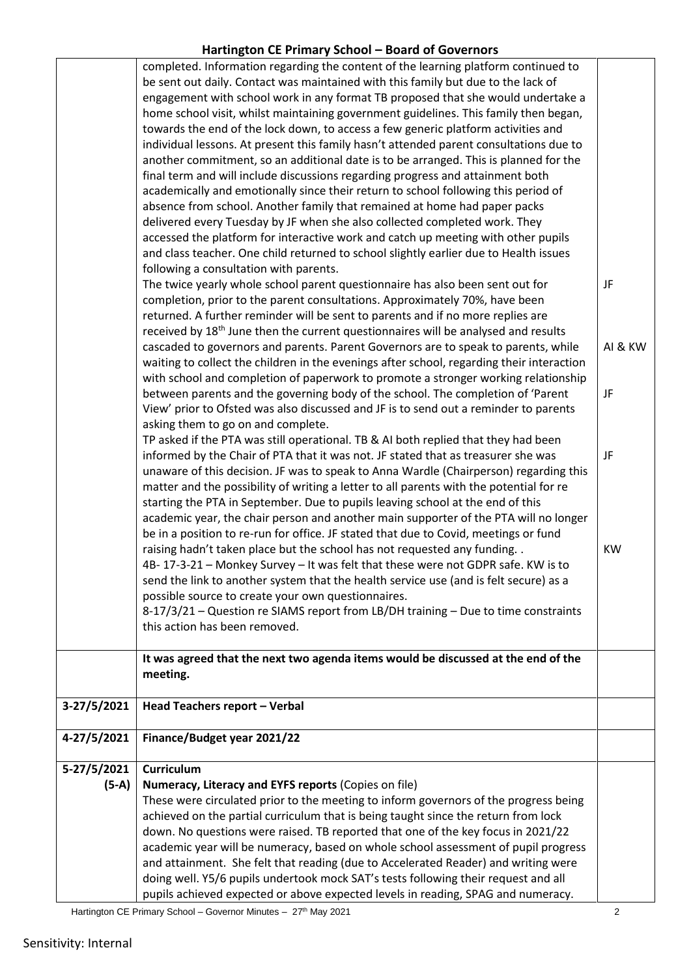|             | completed. Information regarding the content of the learning platform continued to             |           |
|-------------|------------------------------------------------------------------------------------------------|-----------|
|             | be sent out daily. Contact was maintained with this family but due to the lack of              |           |
|             | engagement with school work in any format TB proposed that she would undertake a               |           |
|             | home school visit, whilst maintaining government guidelines. This family then began,           |           |
|             | towards the end of the lock down, to access a few generic platform activities and              |           |
|             | individual lessons. At present this family hasn't attended parent consultations due to         |           |
|             | another commitment, so an additional date is to be arranged. This is planned for the           |           |
|             | final term and will include discussions regarding progress and attainment both                 |           |
|             | academically and emotionally since their return to school following this period of             |           |
|             | absence from school. Another family that remained at home had paper packs                      |           |
|             | delivered every Tuesday by JF when she also collected completed work. They                     |           |
|             | accessed the platform for interactive work and catch up meeting with other pupils              |           |
|             | and class teacher. One child returned to school slightly earlier due to Health issues          |           |
|             | following a consultation with parents.                                                         |           |
|             | The twice yearly whole school parent questionnaire has also been sent out for                  | JF        |
|             | completion, prior to the parent consultations. Approximately 70%, have been                    |           |
|             | returned. A further reminder will be sent to parents and if no more replies are                |           |
|             | received by 18 <sup>th</sup> June then the current questionnaires will be analysed and results |           |
|             | cascaded to governors and parents. Parent Governors are to speak to parents, while             | AI & KW   |
|             |                                                                                                |           |
|             | waiting to collect the children in the evenings after school, regarding their interaction      |           |
|             | with school and completion of paperwork to promote a stronger working relationship             |           |
|             | between parents and the governing body of the school. The completion of 'Parent                | JF        |
|             | View' prior to Ofsted was also discussed and JF is to send out a reminder to parents           |           |
|             | asking them to go on and complete.                                                             |           |
|             | TP asked if the PTA was still operational. TB & AI both replied that they had been             |           |
|             | informed by the Chair of PTA that it was not. JF stated that as treasurer she was              | JF        |
|             | unaware of this decision. JF was to speak to Anna Wardle (Chairperson) regarding this          |           |
|             | matter and the possibility of writing a letter to all parents with the potential for re        |           |
|             | starting the PTA in September. Due to pupils leaving school at the end of this                 |           |
|             | academic year, the chair person and another main supporter of the PTA will no longer           |           |
|             | be in a position to re-run for office. JF stated that due to Covid, meetings or fund           |           |
|             | raising hadn't taken place but the school has not requested any funding. .                     | <b>KW</b> |
|             | 4B-17-3-21 - Monkey Survey - It was felt that these were not GDPR safe. KW is to               |           |
|             | send the link to another system that the health service use (and is felt secure) as a          |           |
|             | possible source to create your own questionnaires.                                             |           |
|             | 8-17/3/21 - Question re SIAMS report from LB/DH training - Due to time constraints             |           |
|             | this action has been removed.                                                                  |           |
|             | It was agreed that the next two agenda items would be discussed at the end of the              |           |
|             | meeting.                                                                                       |           |
|             |                                                                                                |           |
| 3-27/5/2021 | Head Teachers report - Verbal                                                                  |           |
|             |                                                                                                |           |
| 4-27/5/2021 | Finance/Budget year 2021/22                                                                    |           |
| 5-27/5/2021 | <b>Curriculum</b>                                                                              |           |
| $(5-A)$     | Numeracy, Literacy and EYFS reports (Copies on file)                                           |           |
|             | These were circulated prior to the meeting to inform governors of the progress being           |           |
|             | achieved on the partial curriculum that is being taught since the return from lock             |           |
|             | down. No questions were raised. TB reported that one of the key focus in 2021/22               |           |
|             | academic year will be numeracy, based on whole school assessment of pupil progress             |           |
|             | and attainment. She felt that reading (due to Accelerated Reader) and writing were             |           |
|             | doing well. Y5/6 pupils undertook mock SAT's tests following their request and all             |           |
|             | pupils achieved expected or above expected levels in reading, SPAG and numeracy.               |           |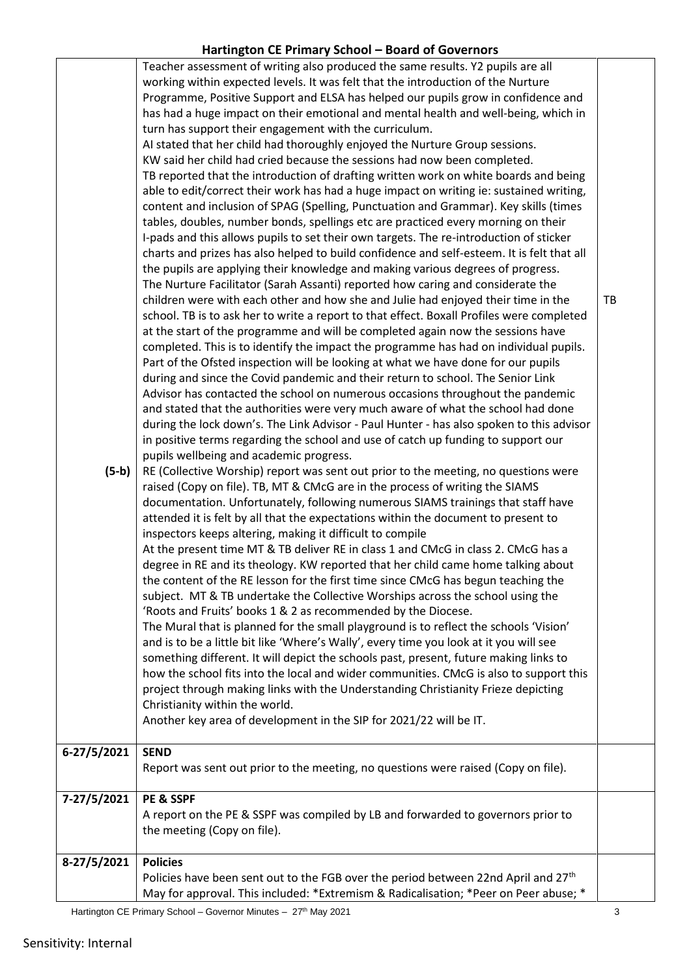| $(5-b)$     | Teacher assessment of writing also produced the same results. Y2 pupils are all<br>working within expected levels. It was felt that the introduction of the Nurture<br>Programme, Positive Support and ELSA has helped our pupils grow in confidence and<br>has had a huge impact on their emotional and mental health and well-being, which in<br>turn has support their engagement with the curriculum.<br>AI stated that her child had thoroughly enjoyed the Nurture Group sessions.<br>KW said her child had cried because the sessions had now been completed.<br>TB reported that the introduction of drafting written work on white boards and being<br>able to edit/correct their work has had a huge impact on writing ie: sustained writing,<br>content and inclusion of SPAG (Spelling, Punctuation and Grammar). Key skills (times<br>tables, doubles, number bonds, spellings etc are practiced every morning on their<br>I-pads and this allows pupils to set their own targets. The re-introduction of sticker<br>charts and prizes has also helped to build confidence and self-esteem. It is felt that all<br>the pupils are applying their knowledge and making various degrees of progress.<br>The Nurture Facilitator (Sarah Assanti) reported how caring and considerate the<br>children were with each other and how she and Julie had enjoyed their time in the<br>school. TB is to ask her to write a report to that effect. Boxall Profiles were completed<br>at the start of the programme and will be completed again now the sessions have<br>completed. This is to identify the impact the programme has had on individual pupils.<br>Part of the Ofsted inspection will be looking at what we have done for our pupils<br>during and since the Covid pandemic and their return to school. The Senior Link<br>Advisor has contacted the school on numerous occasions throughout the pandemic<br>and stated that the authorities were very much aware of what the school had done<br>during the lock down's. The Link Advisor - Paul Hunter - has also spoken to this advisor<br>in positive terms regarding the school and use of catch up funding to support our<br>pupils wellbeing and academic progress.<br>RE (Collective Worship) report was sent out prior to the meeting, no questions were<br>raised (Copy on file). TB, MT & CMcG are in the process of writing the SIAMS<br>documentation. Unfortunately, following numerous SIAMS trainings that staff have<br>attended it is felt by all that the expectations within the document to present to<br>inspectors keeps altering, making it difficult to compile<br>At the present time MT & TB deliver RE in class 1 and CMcG in class 2. CMcG has a<br>degree in RE and its theology. KW reported that her child came home talking about<br>the content of the RE lesson for the first time since CMcG has begun teaching the<br>subject. MT & TB undertake the Collective Worships across the school using the<br>'Roots and Fruits' books 1 & 2 as recommended by the Diocese.<br>The Mural that is planned for the small playground is to reflect the schools 'Vision'<br>and is to be a little bit like 'Where's Wally', every time you look at it you will see<br>something different. It will depict the schools past, present, future making links to<br>how the school fits into the local and wider communities. CMcG is also to support this<br>project through making links with the Understanding Christianity Frieze depicting<br>Christianity within the world.<br>Another key area of development in the SIP for 2021/22 will be IT. | TB |
|-------------|-----------------------------------------------------------------------------------------------------------------------------------------------------------------------------------------------------------------------------------------------------------------------------------------------------------------------------------------------------------------------------------------------------------------------------------------------------------------------------------------------------------------------------------------------------------------------------------------------------------------------------------------------------------------------------------------------------------------------------------------------------------------------------------------------------------------------------------------------------------------------------------------------------------------------------------------------------------------------------------------------------------------------------------------------------------------------------------------------------------------------------------------------------------------------------------------------------------------------------------------------------------------------------------------------------------------------------------------------------------------------------------------------------------------------------------------------------------------------------------------------------------------------------------------------------------------------------------------------------------------------------------------------------------------------------------------------------------------------------------------------------------------------------------------------------------------------------------------------------------------------------------------------------------------------------------------------------------------------------------------------------------------------------------------------------------------------------------------------------------------------------------------------------------------------------------------------------------------------------------------------------------------------------------------------------------------------------------------------------------------------------------------------------------------------------------------------------------------------------------------------------------------------------------------------------------------------------------------------------------------------------------------------------------------------------------------------------------------------------------------------------------------------------------------------------------------------------------------------------------------------------------------------------------------------------------------------------------------------------------------------------------------------------------------------------------------------------------------------------------------------------------------------------------------------------------------------------------------------------------------------------------------------------------------------------------------------------------------------------------------------------------------------------------------------------------------------------------------------------------------------------------------------------------------------------------------------------------------------------------------------------------------------|----|
| 6-27/5/2021 | <b>SEND</b><br>Report was sent out prior to the meeting, no questions were raised (Copy on file).                                                                                                                                                                                                                                                                                                                                                                                                                                                                                                                                                                                                                                                                                                                                                                                                                                                                                                                                                                                                                                                                                                                                                                                                                                                                                                                                                                                                                                                                                                                                                                                                                                                                                                                                                                                                                                                                                                                                                                                                                                                                                                                                                                                                                                                                                                                                                                                                                                                                                                                                                                                                                                                                                                                                                                                                                                                                                                                                                                                                                                                                                                                                                                                                                                                                                                                                                                                                                                                                                                                                             |    |
|             |                                                                                                                                                                                                                                                                                                                                                                                                                                                                                                                                                                                                                                                                                                                                                                                                                                                                                                                                                                                                                                                                                                                                                                                                                                                                                                                                                                                                                                                                                                                                                                                                                                                                                                                                                                                                                                                                                                                                                                                                                                                                                                                                                                                                                                                                                                                                                                                                                                                                                                                                                                                                                                                                                                                                                                                                                                                                                                                                                                                                                                                                                                                                                                                                                                                                                                                                                                                                                                                                                                                                                                                                                                               |    |
| 7-27/5/2021 | PE & SSPF<br>A report on the PE & SSPF was compiled by LB and forwarded to governors prior to<br>the meeting (Copy on file).                                                                                                                                                                                                                                                                                                                                                                                                                                                                                                                                                                                                                                                                                                                                                                                                                                                                                                                                                                                                                                                                                                                                                                                                                                                                                                                                                                                                                                                                                                                                                                                                                                                                                                                                                                                                                                                                                                                                                                                                                                                                                                                                                                                                                                                                                                                                                                                                                                                                                                                                                                                                                                                                                                                                                                                                                                                                                                                                                                                                                                                                                                                                                                                                                                                                                                                                                                                                                                                                                                                  |    |
| 8-27/5/2021 | <b>Policies</b>                                                                                                                                                                                                                                                                                                                                                                                                                                                                                                                                                                                                                                                                                                                                                                                                                                                                                                                                                                                                                                                                                                                                                                                                                                                                                                                                                                                                                                                                                                                                                                                                                                                                                                                                                                                                                                                                                                                                                                                                                                                                                                                                                                                                                                                                                                                                                                                                                                                                                                                                                                                                                                                                                                                                                                                                                                                                                                                                                                                                                                                                                                                                                                                                                                                                                                                                                                                                                                                                                                                                                                                                                               |    |
|             | Policies have been sent out to the FGB over the period between 22nd April and 27 <sup>th</sup><br>May for approval. This included: *Extremism & Radicalisation; *Peer on Peer abuse; *                                                                                                                                                                                                                                                                                                                                                                                                                                                                                                                                                                                                                                                                                                                                                                                                                                                                                                                                                                                                                                                                                                                                                                                                                                                                                                                                                                                                                                                                                                                                                                                                                                                                                                                                                                                                                                                                                                                                                                                                                                                                                                                                                                                                                                                                                                                                                                                                                                                                                                                                                                                                                                                                                                                                                                                                                                                                                                                                                                                                                                                                                                                                                                                                                                                                                                                                                                                                                                                        |    |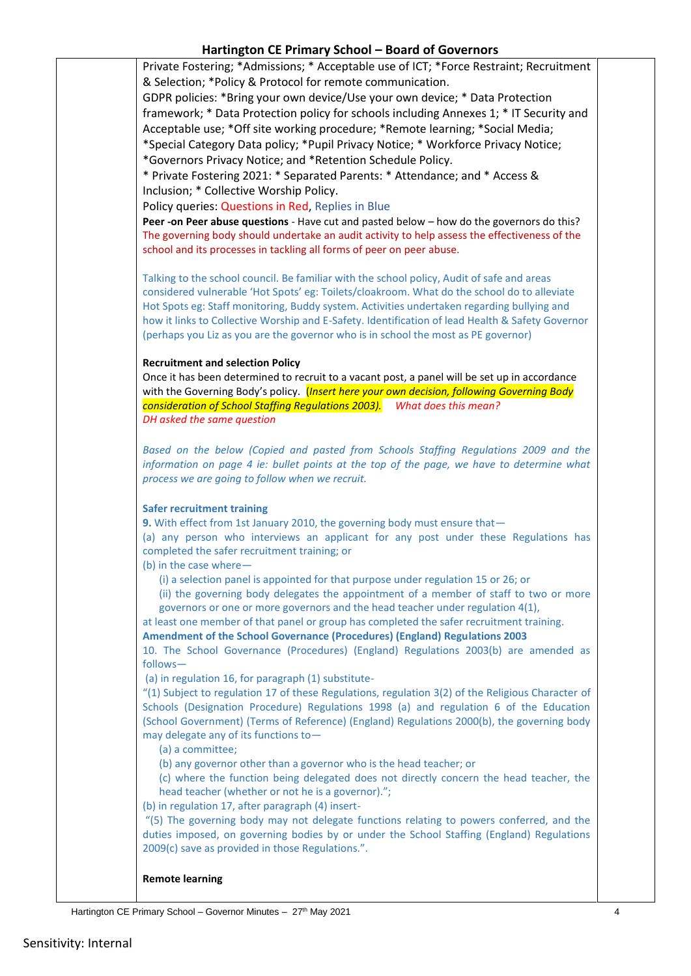| Private Fostering; *Admissions; * Acceptable use of ICT; *Force Restraint; Recruitment                                                                                 |  |
|------------------------------------------------------------------------------------------------------------------------------------------------------------------------|--|
| & Selection; *Policy & Protocol for remote communication.                                                                                                              |  |
| GDPR policies: *Bring your own device/Use your own device; * Data Protection                                                                                           |  |
| framework; * Data Protection policy for schools including Annexes 1; * IT Security and                                                                                 |  |
| Acceptable use; *Off site working procedure; *Remote learning; *Social Media;                                                                                          |  |
| *Special Category Data policy; *Pupil Privacy Notice; * Workforce Privacy Notice;                                                                                      |  |
| *Governors Privacy Notice; and *Retention Schedule Policy.                                                                                                             |  |
| * Private Fostering 2021: * Separated Parents: * Attendance; and * Access &                                                                                            |  |
|                                                                                                                                                                        |  |
| Inclusion; * Collective Worship Policy.                                                                                                                                |  |
| Policy queries: Questions in Red, Replies in Blue                                                                                                                      |  |
| Peer -on Peer abuse questions - Have cut and pasted below - how do the governors do this?                                                                              |  |
| The governing body should undertake an audit activity to help assess the effectiveness of the<br>school and its processes in tackling all forms of peer on peer abuse. |  |
|                                                                                                                                                                        |  |
| Talking to the school council. Be familiar with the school policy, Audit of safe and areas                                                                             |  |
| considered vulnerable 'Hot Spots' eg: Toilets/cloakroom. What do the school do to alleviate                                                                            |  |
| Hot Spots eg: Staff monitoring, Buddy system. Activities undertaken regarding bullying and                                                                             |  |
| how it links to Collective Worship and E-Safety. Identification of lead Health & Safety Governor                                                                       |  |
| (perhaps you Liz as you are the governor who is in school the most as PE governor)                                                                                     |  |
|                                                                                                                                                                        |  |
| <b>Recruitment and selection Policy</b>                                                                                                                                |  |
| Once it has been determined to recruit to a vacant post, a panel will be set up in accordance                                                                          |  |
| with the Governing Body's policy. (Insert here your own decision, following Governing Body                                                                             |  |
| consideration of School Staffing Regulations 2003). What does this mean?<br>DH asked the same question                                                                 |  |
|                                                                                                                                                                        |  |
| Based on the below (Copied and pasted from Schools Staffing Regulations 2009 and the                                                                                   |  |
| information on page 4 ie: bullet points at the top of the page, we have to determine what                                                                              |  |
| process we are going to follow when we recruit.                                                                                                                        |  |
|                                                                                                                                                                        |  |
| <b>Safer recruitment training</b>                                                                                                                                      |  |
| 9. With effect from 1st January 2010, the governing body must ensure that-                                                                                             |  |
| (a) any person who interviews an applicant for any post under these Regulations has                                                                                    |  |
| completed the safer recruitment training; or                                                                                                                           |  |
| (b) in the case where-                                                                                                                                                 |  |
| (i) a selection panel is appointed for that purpose under regulation 15 or 26; or                                                                                      |  |
| (ii) the governing body delegates the appointment of a member of staff to two or more                                                                                  |  |
| governors or one or more governors and the head teacher under regulation 4(1),                                                                                         |  |
| at least one member of that panel or group has completed the safer recruitment training.                                                                               |  |
| Amendment of the School Governance (Procedures) (England) Regulations 2003                                                                                             |  |
| 10. The School Governance (Procedures) (England) Regulations 2003(b) are amended as                                                                                    |  |
| follows-                                                                                                                                                               |  |
| (a) in regulation 16, for paragraph (1) substitute-                                                                                                                    |  |
| "(1) Subject to regulation 17 of these Regulations, regulation 3(2) of the Religious Character of                                                                      |  |
| Schools (Designation Procedure) Regulations 1998 (a) and regulation 6 of the Education                                                                                 |  |
| (School Government) (Terms of Reference) (England) Regulations 2000(b), the governing body                                                                             |  |
| may delegate any of its functions to-                                                                                                                                  |  |
| (a) a committee;                                                                                                                                                       |  |
| (b) any governor other than a governor who is the head teacher; or<br>(c) where the function being delegated does not directly concern the head teacher, the           |  |
| head teacher (whether or not he is a governor).";                                                                                                                      |  |
| (b) in regulation 17, after paragraph (4) insert-                                                                                                                      |  |
| "(5) The governing body may not delegate functions relating to powers conferred, and the                                                                               |  |
|                                                                                                                                                                        |  |
|                                                                                                                                                                        |  |
| duties imposed, on governing bodies by or under the School Staffing (England) Regulations                                                                              |  |
| 2009(c) save as provided in those Regulations.".                                                                                                                       |  |
| <b>Remote learning</b>                                                                                                                                                 |  |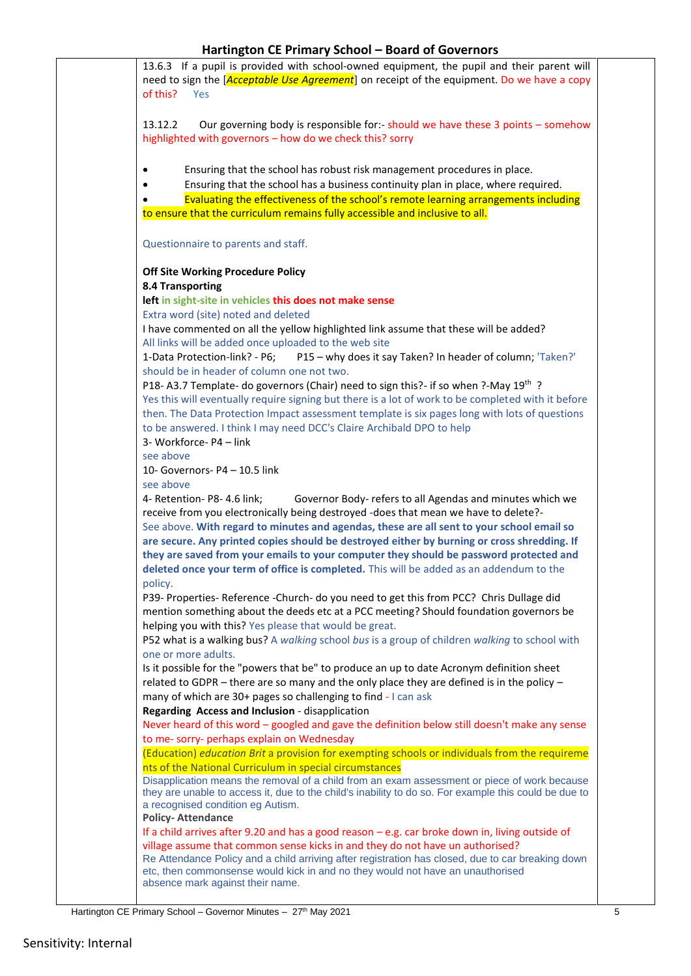|           | <b>Hartington CETTIMATY SCHOOL</b> Board of Governors                                                 |
|-----------|-------------------------------------------------------------------------------------------------------|
|           | 13.6.3 If a pupil is provided with school-owned equipment, the pupil and their parent will            |
|           | need to sign the [Acceptable Use Agreement] on receipt of the equipment. Do we have a copy            |
| of this?  | Yes                                                                                                   |
|           |                                                                                                       |
|           |                                                                                                       |
| 13.12.2   | Our governing body is responsible for:- should we have these 3 points - somehow                       |
|           | highlighted with governors - how do we check this? sorry                                              |
|           |                                                                                                       |
|           |                                                                                                       |
| $\bullet$ | Ensuring that the school has robust risk management procedures in place.                              |
| $\bullet$ | Ensuring that the school has a business continuity plan in place, where required.                     |
|           | Evaluating the effectiveness of the school's remote learning arrangements including                   |
|           | to ensure that the curriculum remains fully accessible and inclusive to all.                          |
|           |                                                                                                       |
|           | Questionnaire to parents and staff.                                                                   |
|           |                                                                                                       |
|           | <b>Off Site Working Procedure Policy</b>                                                              |
|           | 8.4 Transporting                                                                                      |
|           | left in sight-site in vehicles this does not make sense                                               |
|           | Extra word (site) noted and deleted                                                                   |
|           |                                                                                                       |
|           | I have commented on all the yellow highlighted link assume that these will be added?                  |
|           | All links will be added once uploaded to the web site                                                 |
|           | 1-Data Protection-link? - P6; P15 - why does it say Taken? In header of column; 'Taken?'              |
|           | should be in header of column one not two.                                                            |
|           | P18-A3.7 Template-do governors (Chair) need to sign this?- if so when ?-May 19 <sup>th</sup> ?        |
|           |                                                                                                       |
|           | Yes this will eventually require signing but there is a lot of work to be completed with it before    |
|           | then. The Data Protection Impact assessment template is six pages long with lots of questions         |
|           | to be answered. I think I may need DCC's Claire Archibald DPO to help                                 |
|           | 3- Workforce- P4 - link                                                                               |
| see above |                                                                                                       |
|           |                                                                                                       |
|           | 10- Governors- P4 - 10.5 link                                                                         |
|           | see above                                                                                             |
|           | 4- Retention- P8- 4.6 link;<br>Governor Body- refers to all Agendas and minutes which we              |
|           | receive from you electronically being destroyed -does that mean we have to delete?-                   |
|           | See above. With regard to minutes and agendas, these are all sent to your school email so             |
|           |                                                                                                       |
|           | are secure. Any printed copies should be destroyed either by burning or cross shredding. If           |
|           | they are saved from your emails to your computer they should be password protected and                |
|           | deleted once your term of office is completed. This will be added as an addendum to the               |
| policy.   |                                                                                                       |
|           | P39- Properties- Reference - Church- do you need to get this from PCC? Chris Dullage did              |
|           |                                                                                                       |
|           | mention something about the deeds etc at a PCC meeting? Should foundation governors be                |
|           | helping you with this? Yes please that would be great.                                                |
|           | P52 what is a walking bus? A walking school bus is a group of children walking to school with         |
|           | one or more adults.                                                                                   |
|           |                                                                                                       |
|           | Is it possible for the "powers that be" to produce an up to date Acronym definition sheet             |
|           | related to GDPR - there are so many and the only place they are defined is in the policy -            |
|           | many of which are 30+ pages so challenging to find - I can ask                                        |
|           | Regarding Access and Inclusion - disapplication                                                       |
|           | Never heard of this word - googled and gave the definition below still doesn't make any sense         |
|           |                                                                                                       |
|           | to me- sorry- perhaps explain on Wednesday                                                            |
|           | (Education) education Brit a provision for exempting schools or individuals from the requireme        |
|           | nts of the National Curriculum in special circumstances                                               |
|           | Disapplication means the removal of a child from an exam assessment or piece of work because          |
|           | they are unable to access it, due to the child's inability to do so. For example this could be due to |
|           | a recognised condition eg Autism.                                                                     |
|           | <b>Policy-Attendance</b>                                                                              |
|           |                                                                                                       |
|           | If a child arrives after 9.20 and has a good reason - e.g. car broke down in, living outside of       |
|           | village assume that common sense kicks in and they do not have un authorised?                         |
|           | Re Attendance Policy and a child arriving after registration has closed, due to car breaking down     |
|           | etc, then commonsense would kick in and no they would not have an unauthorised                        |
|           | absence mark against their name.                                                                      |
|           |                                                                                                       |
|           |                                                                                                       |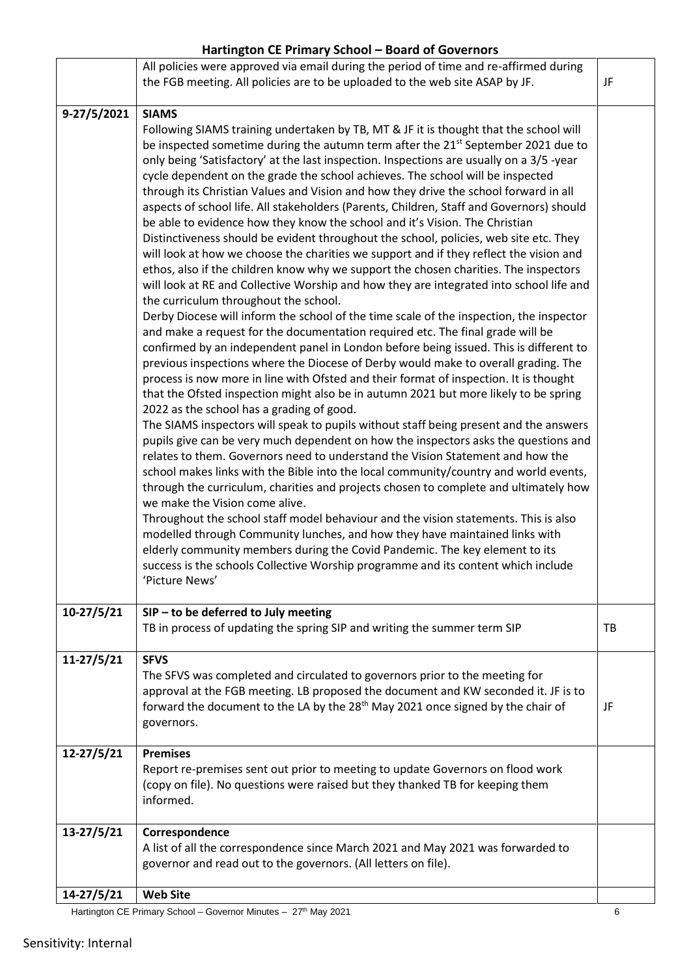|                | All policies were approved via email during the period of time and re-affirmed during<br>the FGB meeting. All policies are to be uploaded to the web site ASAP by JF.                                                                                                                                                                                                                                                                                                                                                                                                                                                                                                                                                                                                                                                                                                                                                                                                                                                                                                                                                                                                                                                                                                                                                                                                                                                                                                                                                                                                                                                                                                                                                                                                                                                                                                                                                                                                                                                                                                                                                                                                                                                                                                                                                                                                                                                                                                                                     | JF |
|----------------|-----------------------------------------------------------------------------------------------------------------------------------------------------------------------------------------------------------------------------------------------------------------------------------------------------------------------------------------------------------------------------------------------------------------------------------------------------------------------------------------------------------------------------------------------------------------------------------------------------------------------------------------------------------------------------------------------------------------------------------------------------------------------------------------------------------------------------------------------------------------------------------------------------------------------------------------------------------------------------------------------------------------------------------------------------------------------------------------------------------------------------------------------------------------------------------------------------------------------------------------------------------------------------------------------------------------------------------------------------------------------------------------------------------------------------------------------------------------------------------------------------------------------------------------------------------------------------------------------------------------------------------------------------------------------------------------------------------------------------------------------------------------------------------------------------------------------------------------------------------------------------------------------------------------------------------------------------------------------------------------------------------------------------------------------------------------------------------------------------------------------------------------------------------------------------------------------------------------------------------------------------------------------------------------------------------------------------------------------------------------------------------------------------------------------------------------------------------------------------------------------------------|----|
| 9-27/5/2021    | <b>SIAMS</b><br>Following SIAMS training undertaken by TB, MT & JF it is thought that the school will<br>be inspected sometime during the autumn term after the $21^{st}$ September 2021 due to<br>only being 'Satisfactory' at the last inspection. Inspections are usually on a 3/5 -year<br>cycle dependent on the grade the school achieves. The school will be inspected<br>through its Christian Values and Vision and how they drive the school forward in all<br>aspects of school life. All stakeholders (Parents, Children, Staff and Governors) should<br>be able to evidence how they know the school and it's Vision. The Christian<br>Distinctiveness should be evident throughout the school, policies, web site etc. They<br>will look at how we choose the charities we support and if they reflect the vision and<br>ethos, also if the children know why we support the chosen charities. The inspectors<br>will look at RE and Collective Worship and how they are integrated into school life and<br>the curriculum throughout the school.<br>Derby Diocese will inform the school of the time scale of the inspection, the inspector<br>and make a request for the documentation required etc. The final grade will be<br>confirmed by an independent panel in London before being issued. This is different to<br>previous inspections where the Diocese of Derby would make to overall grading. The<br>process is now more in line with Ofsted and their format of inspection. It is thought<br>that the Ofsted inspection might also be in autumn 2021 but more likely to be spring<br>2022 as the school has a grading of good.<br>The SIAMS inspectors will speak to pupils without staff being present and the answers<br>pupils give can be very much dependent on how the inspectors asks the questions and<br>relates to them. Governors need to understand the Vision Statement and how the<br>school makes links with the Bible into the local community/country and world events,<br>through the curriculum, charities and projects chosen to complete and ultimately how<br>we make the Vision come alive.<br>Throughout the school staff model behaviour and the vision statements. This is also<br>modelled through Community lunches, and how they have maintained links with<br>elderly community members during the Covid Pandemic. The key element to its<br>success is the schools Collective Worship programme and its content which include<br>'Picture News' |    |
| $10-27/5/21$   | $SIP$ – to be deferred to July meeting<br>TB in process of updating the spring SIP and writing the summer term SIP                                                                                                                                                                                                                                                                                                                                                                                                                                                                                                                                                                                                                                                                                                                                                                                                                                                                                                                                                                                                                                                                                                                                                                                                                                                                                                                                                                                                                                                                                                                                                                                                                                                                                                                                                                                                                                                                                                                                                                                                                                                                                                                                                                                                                                                                                                                                                                                        | TB |
| $11 - 27/5/21$ | <b>SFVS</b><br>The SFVS was completed and circulated to governors prior to the meeting for<br>approval at the FGB meeting. LB proposed the document and KW seconded it. JF is to<br>forward the document to the LA by the 28 <sup>th</sup> May 2021 once signed by the chair of<br>governors.                                                                                                                                                                                                                                                                                                                                                                                                                                                                                                                                                                                                                                                                                                                                                                                                                                                                                                                                                                                                                                                                                                                                                                                                                                                                                                                                                                                                                                                                                                                                                                                                                                                                                                                                                                                                                                                                                                                                                                                                                                                                                                                                                                                                             | JF |
| $12 - 27/5/21$ | <b>Premises</b><br>Report re-premises sent out prior to meeting to update Governors on flood work<br>(copy on file). No questions were raised but they thanked TB for keeping them<br>informed.                                                                                                                                                                                                                                                                                                                                                                                                                                                                                                                                                                                                                                                                                                                                                                                                                                                                                                                                                                                                                                                                                                                                                                                                                                                                                                                                                                                                                                                                                                                                                                                                                                                                                                                                                                                                                                                                                                                                                                                                                                                                                                                                                                                                                                                                                                           |    |
| $13 - 27/5/21$ | Correspondence<br>A list of all the correspondence since March 2021 and May 2021 was forwarded to<br>governor and read out to the governors. (All letters on file).                                                                                                                                                                                                                                                                                                                                                                                                                                                                                                                                                                                                                                                                                                                                                                                                                                                                                                                                                                                                                                                                                                                                                                                                                                                                                                                                                                                                                                                                                                                                                                                                                                                                                                                                                                                                                                                                                                                                                                                                                                                                                                                                                                                                                                                                                                                                       |    |
| 14-27/5/21     | <b>Web Site</b>                                                                                                                                                                                                                                                                                                                                                                                                                                                                                                                                                                                                                                                                                                                                                                                                                                                                                                                                                                                                                                                                                                                                                                                                                                                                                                                                                                                                                                                                                                                                                                                                                                                                                                                                                                                                                                                                                                                                                                                                                                                                                                                                                                                                                                                                                                                                                                                                                                                                                           |    |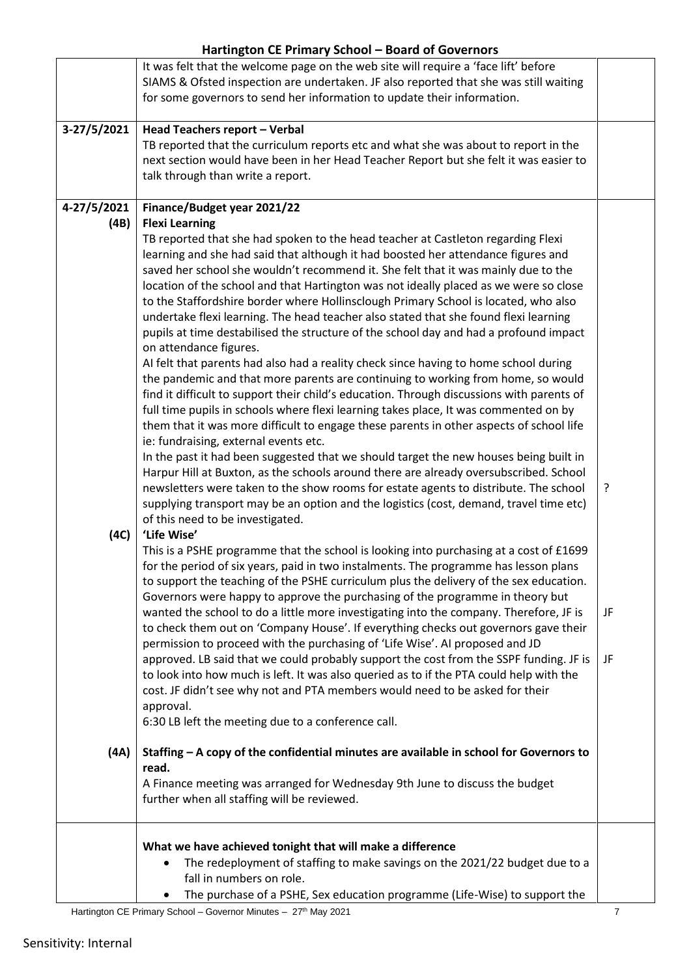|              | It was felt that the welcome page on the web site will require a 'face lift' before<br>SIAMS & Ofsted inspection are undertaken. JF also reported that she was still waiting<br>for some governors to send her information to update their information.                                                                                                                                                                                                                                                                                                                                                                                                                                                                                                                                                                                                                                                                                                                                                                                                                                                                                                                                                                                                                                                                                                                                                                                                                                                                                                                                                                                                                                               |          |
|--------------|-------------------------------------------------------------------------------------------------------------------------------------------------------------------------------------------------------------------------------------------------------------------------------------------------------------------------------------------------------------------------------------------------------------------------------------------------------------------------------------------------------------------------------------------------------------------------------------------------------------------------------------------------------------------------------------------------------------------------------------------------------------------------------------------------------------------------------------------------------------------------------------------------------------------------------------------------------------------------------------------------------------------------------------------------------------------------------------------------------------------------------------------------------------------------------------------------------------------------------------------------------------------------------------------------------------------------------------------------------------------------------------------------------------------------------------------------------------------------------------------------------------------------------------------------------------------------------------------------------------------------------------------------------------------------------------------------------|----------|
| 3-27/5/2021  | Head Teachers report - Verbal<br>TB reported that the curriculum reports etc and what she was about to report in the<br>next section would have been in her Head Teacher Report but she felt it was easier to<br>talk through than write a report.                                                                                                                                                                                                                                                                                                                                                                                                                                                                                                                                                                                                                                                                                                                                                                                                                                                                                                                                                                                                                                                                                                                                                                                                                                                                                                                                                                                                                                                    |          |
| 4-27/5/2021  | Finance/Budget year 2021/22                                                                                                                                                                                                                                                                                                                                                                                                                                                                                                                                                                                                                                                                                                                                                                                                                                                                                                                                                                                                                                                                                                                                                                                                                                                                                                                                                                                                                                                                                                                                                                                                                                                                           |          |
| (4B)<br>(4C) | <b>Flexi Learning</b><br>TB reported that she had spoken to the head teacher at Castleton regarding Flexi<br>learning and she had said that although it had boosted her attendance figures and<br>saved her school she wouldn't recommend it. She felt that it was mainly due to the<br>location of the school and that Hartington was not ideally placed as we were so close<br>to the Staffordshire border where Hollinsclough Primary School is located, who also<br>undertake flexi learning. The head teacher also stated that she found flexi learning<br>pupils at time destabilised the structure of the school day and had a profound impact<br>on attendance figures.<br>AI felt that parents had also had a reality check since having to home school during<br>the pandemic and that more parents are continuing to working from home, so would<br>find it difficult to support their child's education. Through discussions with parents of<br>full time pupils in schools where flexi learning takes place, It was commented on by<br>them that it was more difficult to engage these parents in other aspects of school life<br>ie: fundraising, external events etc.<br>In the past it had been suggested that we should target the new houses being built in<br>Harpur Hill at Buxton, as the schools around there are already oversubscribed. School<br>newsletters were taken to the show rooms for estate agents to distribute. The school<br>supplying transport may be an option and the logistics (cost, demand, travel time etc)<br>of this need to be investigated.<br>'Life Wise'<br>This is a PSHE programme that the school is looking into purchasing at a cost of £1699 | ?        |
|              | for the period of six years, paid in two instalments. The programme has lesson plans<br>to support the teaching of the PSHE curriculum plus the delivery of the sex education.<br>Governors were happy to approve the purchasing of the programme in theory but<br>wanted the school to do a little more investigating into the company. Therefore, JF is<br>to check them out on 'Company House'. If everything checks out governors gave their<br>permission to proceed with the purchasing of 'Life Wise'. AI proposed and JD<br>approved. LB said that we could probably support the cost from the SSPF funding. JF is<br>to look into how much is left. It was also queried as to if the PTA could help with the<br>cost. JF didn't see why not and PTA members would need to be asked for their<br>approval.<br>6:30 LB left the meeting due to a conference call.                                                                                                                                                                                                                                                                                                                                                                                                                                                                                                                                                                                                                                                                                                                                                                                                                              | JF<br>JF |
| (AA)         | Staffing - A copy of the confidential minutes are available in school for Governors to<br>read.<br>A Finance meeting was arranged for Wednesday 9th June to discuss the budget<br>further when all staffing will be reviewed.                                                                                                                                                                                                                                                                                                                                                                                                                                                                                                                                                                                                                                                                                                                                                                                                                                                                                                                                                                                                                                                                                                                                                                                                                                                                                                                                                                                                                                                                         |          |
|              | What we have achieved tonight that will make a difference<br>The redeployment of staffing to make savings on the 2021/22 budget due to a<br>fall in numbers on role.<br>The purchase of a PSHE, Sex education programme (Life-Wise) to support the                                                                                                                                                                                                                                                                                                                                                                                                                                                                                                                                                                                                                                                                                                                                                                                                                                                                                                                                                                                                                                                                                                                                                                                                                                                                                                                                                                                                                                                    |          |